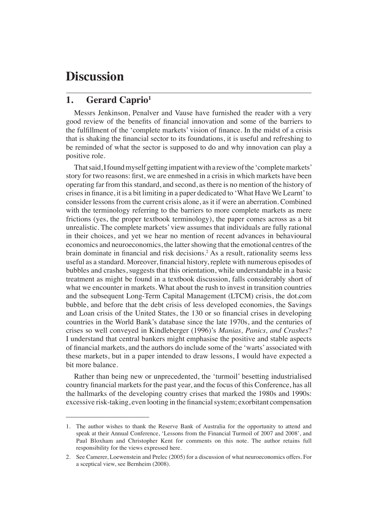# **Discussion**

## **1. Gerard Caprio1**

Messrs Jenkinson, Penalver and Vause have furnished the reader with a very good review of the benefits of financial innovation and some of the barriers to the fulfillment of the 'complete markets' vision of finance. In the midst of a crisis that is shaking the financial sector to its foundations, it is useful and refreshing to be reminded of what the sector is supposed to do and why innovation can play a positive role.

That said, I found myself getting impatient with a review of the 'complete markets' story for two reasons: first, we are enmeshed in a crisis in which markets have been operating far from this standard, and second, as there is no mention of the history of crises in finance, it is a bit limiting in a paper dedicated to 'What Have We Learnt' to consider lessons from the current crisis alone, as it if were an aberration. Combined with the terminology referring to the barriers to more complete markets as mere frictions (yes, the proper textbook terminology), the paper comes across as a bit unrealistic. The complete markets' view assumes that individuals are fully rational in their choices, and yet we hear no mention of recent advances in behavioural economics and neuroeconomics, the latter showing that the emotional centres of the brain dominate in financial and risk decisions.<sup>2</sup> As a result, rationality seems less useful as a standard. Moreover, financial history, replete with numerous episodes of bubbles and crashes, suggests that this orientation, while understandable in a basic treatment as might be found in a textbook discussion, falls considerably short of what we encounter in markets. What about the rush to invest in transition countries and the subsequent Long-Term Capital Management (LTCM) crisis, the dot.com bubble, and before that the debt crisis of less developed economies, the Savings and Loan crisis of the United States, the 130 or so financial crises in developing countries in the World Bank's database since the late 1970s, and the centuries of crises so well conveyed in Kindleberger (1996)'s *Manias, Panics, and Crashes*? I understand that central bankers might emphasise the positive and stable aspects of financial markets, and the authors do include some of the 'warts' associated with these markets, but in a paper intended to draw lessons, I would have expected a bit more balance.

Rather than being new or unprecedented, the 'turmoil' besetting industrialised country financial markets for the past year, and the focus of this Conference, has all the hallmarks of the developing country crises that marked the 1980s and 1990s: excessive risk-taking, even looting in the financial system; exorbitant compensation

<sup>1.</sup> The author wishes to thank the Reserve Bank of Australia for the opportunity to attend and speak at their Annual Conference, 'Lessons from the Financial Turmoil of 2007 and 2008', and Paul Bloxham and Christopher Kent for comments on this note. The author retains full responsibility for the views expressed here.

<sup>2.</sup> See Camerer, Loewenstein and Prelec (2005) for a discussion of what neuroeconomics offers. For a sceptical view, see Bernheim (2008).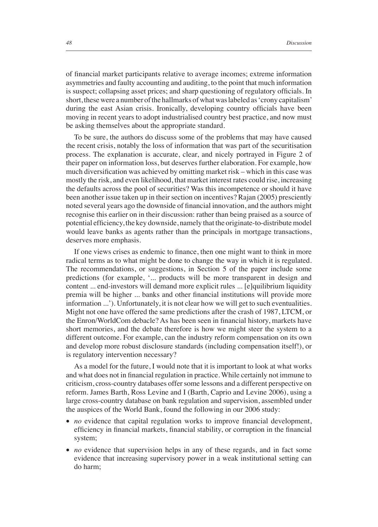of financial market participants relative to average incomes; extreme information asymmetries and faulty accounting and auditing, to the point that much information is suspect; collapsing asset prices; and sharp questioning of regulatory officials. In short, these were a number of the hallmarks of what was labeled as 'crony capitalism' during the east Asian crisis. Ironically, developing country officials have been moving in recent years to adopt industrialised country best practice, and now must be asking themselves about the appropriate standard.

To be sure, the authors do discuss some of the problems that may have caused the recent crisis, notably the loss of information that was part of the securitisation process. The explanation is accurate, clear, and nicely portrayed in Figure 2 of their paper on information loss, but deserves further elaboration. For example, how much diversification was achieved by omitting market risk – which in this case was mostly the risk, and even likelihood, that market interest rates could rise, increasing the defaults across the pool of securities? Was this incompetence or should it have been another issue taken up in their section on incentives? Rajan (2005) presciently noted several years ago the downside of financial innovation, and the authors might recognise this earlier on in their discussion: rather than being praised as a source of potential efficiency, the key downside, namely that the originate-to-distribute model would leave banks as agents rather than the principals in mortgage transactions, deserves more emphasis.

If one views crises as endemic to finance, then one might want to think in more radical terms as to what might be done to change the way in which it is regulated. The recommendations, or suggestions, in Section 5 of the paper include some predictions (for example, '... products will be more transparent in design and content ... end-investors will demand more explicit rules ... [e]quilibrium liquidity premia will be higher ... banks and other financial institutions will provide more information ...'). Unfortunately, it is not clear how we will get to such eventualities. Might not one have offered the same predictions after the crash of 1987, LTCM, or the Enron/WorldCom debacle? As has been seen in financial history, markets have short memories, and the debate therefore is how we might steer the system to a different outcome. For example, can the industry reform compensation on its own and develop more robust disclosure standards (including compensation itself!), or is regulatory intervention necessary?

As a model for the future, I would note that it is important to look at what works and what does not in financial regulation in practice. While certainly not immune to criticism, cross-country databases offer some lessons and a different perspective on reform. James Barth, Ross Levine and I (Barth, Caprio and Levine 2006), using a large cross-country database on bank regulation and supervision, assembled under the auspices of the World Bank, found the following in our 2006 study:

- *no* evidence that capital regulation works to improve financial development, efficiency in financial markets, financial stability, or corruption in the financial system;
- *no* evidence that supervision helps in any of these regards, and in fact some evidence that increasing supervisory power in a weak institutional setting can do harm;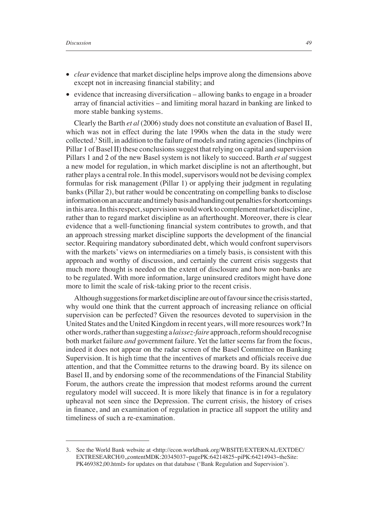- *clear* evidence that market discipline helps improve along the dimensions above except not in increasing financial stability; and
- evidence that increasing diversification allowing banks to engage in a broader array of financial activities – and limiting moral hazard in banking are linked to more stable banking systems.

Clearly the Barth *et al* (2006) study does not constitute an evaluation of Basel II, which was not in effect during the late 1990s when the data in the study were collected.3 Still, in addition to the failure of models and rating agencies (linchpins of Pillar 1 of Basel II) these conclusions suggest that relying on capital and supervision Pillars 1 and 2 of the new Basel system is not likely to succeed. Barth *et al* suggest a new model for regulation, in which market discipline is not an afterthought, but rather plays a central role. In this model, supervisors would not be devising complex formulas for risk management (Pillar 1) or applying their judgment in regulating banks (Pillar 2), but rather would be concentrating on compelling banks to disclose information on an accurate and timely basis and handing out penalties for shortcomings in this area. In this respect, supervision would work to complement market discipline, rather than to regard market discipline as an afterthought. Moreover, there is clear evidence that a well-functioning financial system contributes to growth, and that an approach stressing market discipline supports the development of the financial sector. Requiring mandatory subordinated debt, which would confront supervisors with the markets' views on intermediaries on a timely basis, is consistent with this approach and worthy of discussion, and certainly the current crisis suggests that much more thought is needed on the extent of disclosure and how non-banks are to be regulated. With more information, large uninsured creditors might have done more to limit the scale of risk-taking prior to the recent crisis.

Although suggestions for market discipline are out of favour since the crisis started, why would one think that the current approach of increasing reliance on official supervision can be perfected? Given the resources devoted to supervision in the United States and the United Kingdom in recent years, will more resources work? In other words, rather than suggesting a *laissez-faire* approach, reform should recognise both market failure *and* government failure. Yet the latter seems far from the focus, indeed it does not appear on the radar screen of the Basel Committee on Banking Supervision. It is high time that the incentives of markets and officials receive due attention, and that the Committee returns to the drawing board. By its silence on Basel II, and by endorsing some of the recommendations of the Financial Stability Forum, the authors create the impression that modest reforms around the current regulatory model will succeed. It is more likely that finance is in for a regulatory upheaval not seen since the Depression. The current crisis, the history of crises in finance, and an examination of regulation in practice all support the utility and timeliness of such a re-examination.

<sup>3.</sup> See the World Bank website at <http://econ.worldbank.org/WBSITE/EXTERNAL/EXTDEC/ EXTRESEARCH/0,,contentMDK:20345037~pagePK:64214825~piPK:64214943~theSite: PK469382,00.html> for updates on that database ('Bank Regulation and Supervision').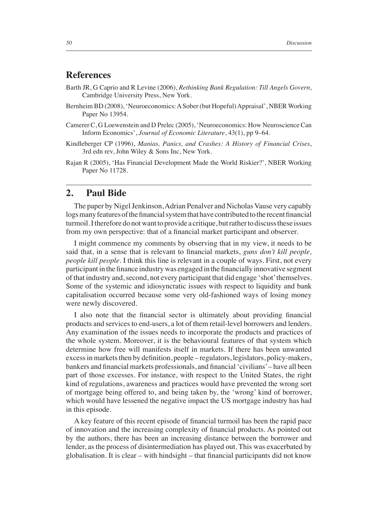### **References**

- Barth JR, G Caprio and R Levine (2006), *Rethinking Bank Regulation: Till Angels Govern*, Cambridge University Press, New York.
- Bernheim BD (2008), 'Neuroeconomics: A Sober (but Hopeful) Appraisal', NBER Working Paper No 13954.
- Camerer C, G Loewenstein and D Prelec (2005), 'Neuroeconomics: How Neuroscience Can Inform Economics', *Journal of Economic Literature*, 43(1), pp 9–64.
- Kindleberger CP (1996), *Manias, Panics, and Crashes: A History of Financial Crises*, 3rd edn rev, John Wiley & Sons Inc, New York.
- Rajan R (2005), 'Has Financial Development Made the World Riskier?', NBER Working Paper No 11728.

#### **2. Paul Bide**

The paper by Nigel Jenkinson, Adrian Penalver and Nicholas Vause very capably logs many features of the financial system that have contributed to the recent financial turmoil. I therefore do not want to provide a critique, but rather to discuss these issues from my own perspective: that of a financial market participant and observer.

I might commence my comments by observing that in my view, it needs to be said that, in a sense that is relevant to financial markets, *guns don't kill people*, *people kill people.* I think this line is relevant in a couple of ways. First, not every participant in the finance industry was engaged in the financially innovative segment of that industry and, second, not every participant that did engage 'shot' themselves. Some of the systemic and idiosyncratic issues with respect to liquidity and bank capitalisation occurred because some very old-fashioned ways of losing money were newly discovered.

I also note that the financial sector is ultimately about providing financial products and services to end-users, a lot of them retail-level borrowers and lenders. Any examination of the issues needs to incorporate the products and practices of the whole system. Moreover, it is the behavioural features of that system which determine how free will manifests itself in markets. If there has been unwanted excess in markets then by definition, people – regulators, legislators, policy-makers, bankers and financial markets professionals, and financial 'civilians' – have all been part of those excesses. For instance, with respect to the United States, the right kind of regulations, awareness and practices would have prevented the wrong sort of mortgage being offered to, and being taken by, the 'wrong' kind of borrower, which would have lessened the negative impact the US mortgage industry has had in this episode.

A key feature of this recent episode of financial turmoil has been the rapid pace of innovation and the increasing complexity of financial products. As pointed out by the authors, there has been an increasing distance between the borrower and lender, as the process of disintermediation has played out. This was exacerbated by globalisation. It is clear  $-$  with hindsight  $-$  that financial participants did not know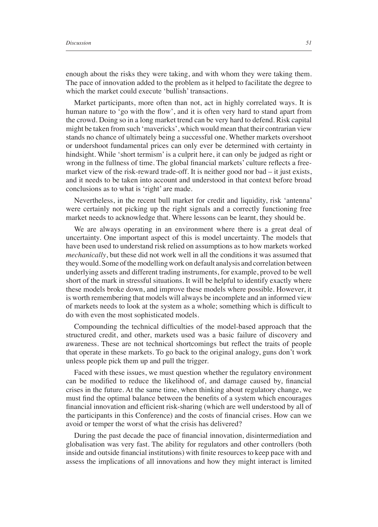enough about the risks they were taking, and with whom they were taking them. The pace of innovation added to the problem as it helped to facilitate the degree to which the market could execute 'bullish' transactions.

Market participants, more often than not, act in highly correlated ways. It is human nature to 'go with the flow', and it is often very hard to stand apart from the crowd. Doing so in a long market trend can be very hard to defend. Risk capital might be taken from such 'mavericks', which would mean that their contrarian view stands no chance of ultimately being a successful one. Whether markets overshoot or undershoot fundamental prices can only ever be determined with certainty in hindsight. While 'short termism' is a culprit here, it can only be judged as right or wrong in the fullness of time. The global financial markets' culture reflects a freemarket view of the risk-reward trade-off. It is neither good nor bad – it just exists, and it needs to be taken into account and understood in that context before broad conclusions as to what is 'right' are made.

Nevertheless, in the recent bull market for credit and liquidity, risk 'antenna' were certainly not picking up the right signals and a correctly functioning free market needs to acknowledge that. Where lessons can be learnt, they should be.

We are always operating in an environment where there is a great deal of uncertainty. One important aspect of this is model uncertainty. The models that have been used to understand risk relied on assumptions as to how markets worked *mechanically*, but these did not work well in all the conditions it was assumed that they would. Some of the modelling work on default analysis and correlation between underlying assets and different trading instruments, for example, proved to be well short of the mark in stressful situations. It will be helpful to identify exactly where these models broke down, and improve these models where possible. However, it is worth remembering that models will always be incomplete and an informed view of markets needs to look at the system as a whole; something which is difficult to do with even the most sophisticated models.

Compounding the technical difficulties of the model-based approach that the structured credit, and other, markets used was a basic failure of discovery and awareness. These are not technical shortcomings but reflect the traits of people that operate in these markets. To go back to the original analogy, guns don't work unless people pick them up and pull the trigger.

Faced with these issues, we must question whether the regulatory environment can be modified to reduce the likelihood of, and damage caused by, financial crises in the future. At the same time, when thinking about regulatory change, we must find the optimal balance between the benefits of a system which encourages financial innovation and efficient risk-sharing (which are well understood by all of the participants in this Conference) and the costs of financial crises. How can we avoid or temper the worst of what the crisis has delivered?

During the past decade the pace of financial innovation, disintermediation and globalisation was very fast. The ability for regulators and other controllers (both inside and outside financial institutions) with finite resources to keep pace with and assess the implications of all innovations and how they might interact is limited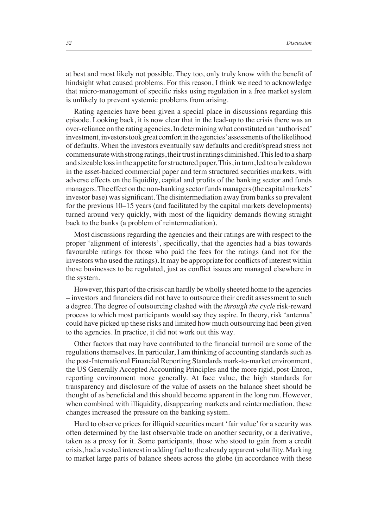at best and most likely not possible. They too, only truly know with the benefi t of hindsight what caused problems. For this reason, I think we need to acknowledge that micro-management of specific risks using regulation in a free market system is unlikely to prevent systemic problems from arising.

Rating agencies have been given a special place in discussions regarding this episode. Looking back, it is now clear that in the lead-up to the crisis there was an over-reliance on the rating agencies. In determining what constituted an 'authorised' investment, investors took great comfort in the agencies' assessments of the likelihood of defaults. When the investors eventually saw defaults and credit/spread stress not commensurate with strong ratings, their trust in ratings diminished. This led to a sharp and sizeable loss in the appetite for structured paper. This, in turn, led to a breakdown in the asset-backed commercial paper and term structured securities markets, with adverse effects on the liquidity, capital and profits of the banking sector and funds managers. The effect on the non-banking sector funds managers (the capital markets' investor base) was significant. The disintermediation away from banks so prevalent for the previous 10–15 years (and facilitated by the capital markets developments) turned around very quickly, with most of the liquidity demands flowing straight back to the banks (a problem of reintermediation).

Most discussions regarding the agencies and their ratings are with respect to the proper 'alignment of interests', specifically, that the agencies had a bias towards favourable ratings for those who paid the fees for the ratings (and not for the investors who used the ratings). It may be appropriate for conflicts of interest within those businesses to be regulated, just as conflict issues are managed elsewhere in the system.

However, this part of the crisis can hardly be wholly sheeted home to the agencies – investors and fi nanciers did not have to outsource their credit assessment to such a degree. The degree of outsourcing clashed with the *through the cycle* risk-reward process to which most participants would say they aspire. In theory, risk 'antenna' could have picked up these risks and limited how much outsourcing had been given to the agencies. In practice, it did not work out this way.

Other factors that may have contributed to the financial turmoil are some of the regulations themselves. In particular, I am thinking of accounting standards such as the post-International Financial Reporting Standards mark-to-market environment, the US Generally Accepted Accounting Principles and the more rigid, post-Enron, reporting environment more generally. At face value, the high standards for transparency and disclosure of the value of assets on the balance sheet should be thought of as beneficial and this should become apparent in the long run. However, when combined with illiquidity, disappearing markets and reintermediation, these changes increased the pressure on the banking system.

Hard to observe prices for illiquid securities meant 'fair value' for a security was often determined by the last observable trade on another security, or a derivative, taken as a proxy for it. Some participants, those who stood to gain from a credit crisis, had a vested interest in adding fuel to the already apparent volatility. Marking to market large parts of balance sheets across the globe (in accordance with these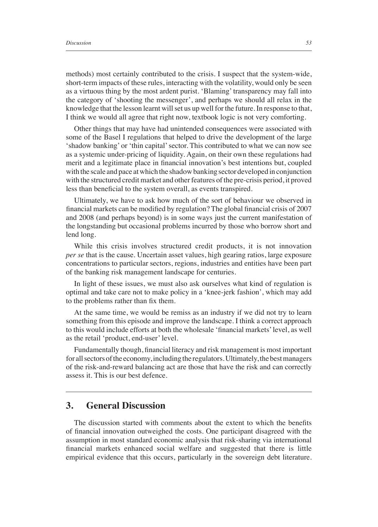methods) most certainly contributed to the crisis. I suspect that the system-wide, short-term impacts of these rules, interacting with the volatility, would only be seen as a virtuous thing by the most ardent purist. 'Blaming' transparency may fall into the category of 'shooting the messenger', and perhaps we should all relax in the knowledge that the lesson learnt will set us up well for the future. In response to that, I think we would all agree that right now, textbook logic is not very comforting.

Other things that may have had unintended consequences were associated with some of the Basel I regulations that helped to drive the development of the large 'shadow banking' or 'thin capital' sector. This contributed to what we can now see as a systemic under-pricing of liquidity. Again, on their own these regulations had merit and a legitimate place in financial innovation's best intentions but, coupled with the scale and pace at which the shadow banking sector developed in conjunction with the structured credit market and other features of the pre-crisis period, it proved less than beneficial to the system overall, as events transpired.

Ultimately, we have to ask how much of the sort of behaviour we observed in financial markets can be modified by regulation? The global financial crisis of 2007 and 2008 (and perhaps beyond) is in some ways just the current manifestation of the longstanding but occasional problems incurred by those who borrow short and lend long.

While this crisis involves structured credit products, it is not innovation *per se* that is the cause. Uncertain asset values, high gearing ratios, large exposure concentrations to particular sectors, regions, industries and entities have been part of the banking risk management landscape for centuries.

In light of these issues, we must also ask ourselves what kind of regulation is optimal and take care not to make policy in a 'knee-jerk fashion', which may add to the problems rather than fix them.

At the same time, we would be remiss as an industry if we did not try to learn something from this episode and improve the landscape. I think a correct approach to this would include efforts at both the wholesale 'financial markets' level, as well as the retail 'product, end-user' level.

Fundamentally though, financial literacy and risk management is most important for all sectors of the economy, including the regulators. Ultimately, the best managers of the risk-and-reward balancing act are those that have the risk and can correctly assess it. This is our best defence.

#### **3. General Discussion**

The discussion started with comments about the extent to which the benefits of financial innovation outweighed the costs. One participant disagreed with the assumption in most standard economic analysis that risk-sharing via international financial markets enhanced social welfare and suggested that there is little empirical evidence that this occurs, particularly in the sovereign debt literature.